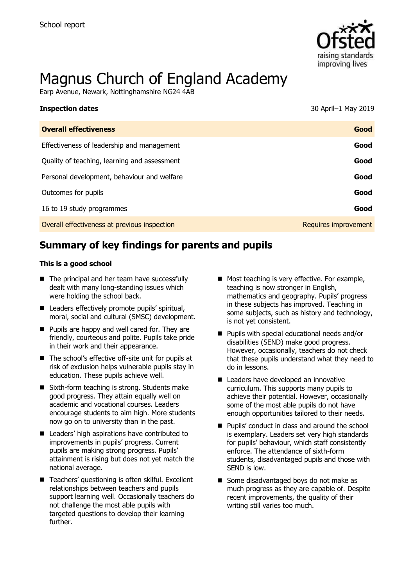

# Magnus Church of England Academy

Earp Avenue, Newark, Nottinghamshire NG24 4AB

| <b>Inspection dates</b>                      | 30 April-1 May 2019  |
|----------------------------------------------|----------------------|
| <b>Overall effectiveness</b>                 | Good                 |
| Effectiveness of leadership and management   | Good                 |
| Quality of teaching, learning and assessment | Good                 |
| Personal development, behaviour and welfare  | Good                 |
| Outcomes for pupils                          | Good                 |
| 16 to 19 study programmes                    | Good                 |
| Overall effectiveness at previous inspection | Requires improvement |
|                                              |                      |

# **Summary of key findings for parents and pupils**

#### **This is a good school**

- The principal and her team have successfully dealt with many long-standing issues which were holding the school back.
- Leaders effectively promote pupils' spiritual, moral, social and cultural (SMSC) development.
- **Pupils are happy and well cared for. They are** friendly, courteous and polite. Pupils take pride in their work and their appearance.
- The school's effective off-site unit for pupils at risk of exclusion helps vulnerable pupils stay in education. These pupils achieve well.
- Sixth-form teaching is strong. Students make good progress. They attain equally well on academic and vocational courses. Leaders encourage students to aim high. More students now go on to university than in the past.
- Leaders' high aspirations have contributed to improvements in pupils' progress. Current pupils are making strong progress. Pupils' attainment is rising but does not yet match the national average.
- Teachers' questioning is often skilful. Excellent relationships between teachers and pupils support learning well. Occasionally teachers do not challenge the most able pupils with targeted questions to develop their learning further.
- Most teaching is very effective. For example, teaching is now stronger in English, mathematics and geography. Pupils' progress in these subjects has improved. Teaching in some subjects, such as history and technology, is not yet consistent.
- **Pupils with special educational needs and/or** disabilities (SEND) make good progress. However, occasionally, teachers do not check that these pupils understand what they need to do in lessons.
- Leaders have developed an innovative curriculum. This supports many pupils to achieve their potential. However, occasionally some of the most able pupils do not have enough opportunities tailored to their needs.
- Pupils' conduct in class and around the school is exemplary. Leaders set very high standards for pupils' behaviour, which staff consistently enforce. The attendance of sixth-form students, disadvantaged pupils and those with SEND is low.
- Some disadvantaged boys do not make as much progress as they are capable of. Despite recent improvements, the quality of their writing still varies too much.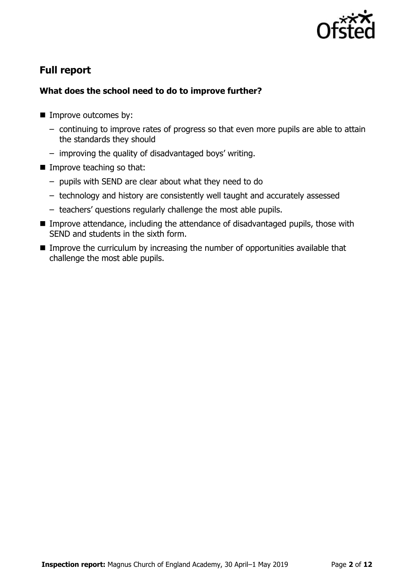

# **Full report**

## **What does the school need to do to improve further?**

- **Improve outcomes by:** 
	- continuing to improve rates of progress so that even more pupils are able to attain the standards they should
	- improving the quality of disadvantaged boys' writing.
- **Improve teaching so that:** 
	- pupils with SEND are clear about what they need to do
	- technology and history are consistently well taught and accurately assessed
	- teachers' questions regularly challenge the most able pupils.
- **IMPROVE Attendance, including the attendance of disadvantaged pupils, those with** SEND and students in the sixth form.
- Improve the curriculum by increasing the number of opportunities available that challenge the most able pupils.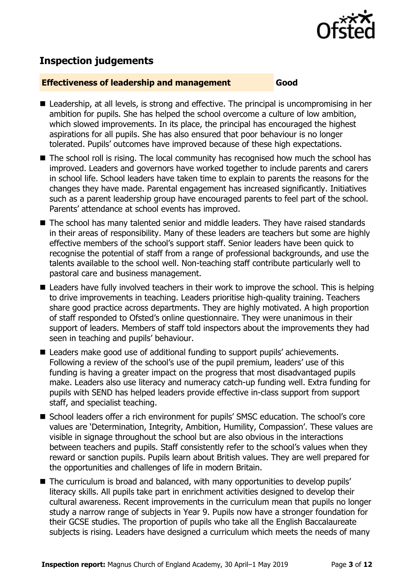

# **Inspection judgements**

#### **Effectiveness of leadership and management Good**

- Leadership, at all levels, is strong and effective. The principal is uncompromising in her ambition for pupils. She has helped the school overcome a culture of low ambition, which slowed improvements. In its place, the principal has encouraged the highest aspirations for all pupils. She has also ensured that poor behaviour is no longer tolerated. Pupils' outcomes have improved because of these high expectations.
- The school roll is rising. The local community has recognised how much the school has improved. Leaders and governors have worked together to include parents and carers in school life. School leaders have taken time to explain to parents the reasons for the changes they have made. Parental engagement has increased significantly. Initiatives such as a parent leadership group have encouraged parents to feel part of the school. Parents' attendance at school events has improved.
- The school has many talented senior and middle leaders. They have raised standards in their areas of responsibility. Many of these leaders are teachers but some are highly effective members of the school's support staff. Senior leaders have been quick to recognise the potential of staff from a range of professional backgrounds, and use the talents available to the school well. Non-teaching staff contribute particularly well to pastoral care and business management.
- Leaders have fully involved teachers in their work to improve the school. This is helping to drive improvements in teaching. Leaders prioritise high-quality training. Teachers share good practice across departments. They are highly motivated. A high proportion of staff responded to Ofsted's online questionnaire. They were unanimous in their support of leaders. Members of staff told inspectors about the improvements they had seen in teaching and pupils' behaviour.
- Leaders make good use of additional funding to support pupils' achievements. Following a review of the school's use of the pupil premium, leaders' use of this funding is having a greater impact on the progress that most disadvantaged pupils make. Leaders also use literacy and numeracy catch-up funding well. Extra funding for pupils with SEND has helped leaders provide effective in-class support from support staff, and specialist teaching.
- School leaders offer a rich environment for pupils' SMSC education. The school's core values are 'Determination, Integrity, Ambition, Humility, Compassion'. These values are visible in signage throughout the school but are also obvious in the interactions between teachers and pupils. Staff consistently refer to the school's values when they reward or sanction pupils. Pupils learn about British values. They are well prepared for the opportunities and challenges of life in modern Britain.
- The curriculum is broad and balanced, with many opportunities to develop pupils' literacy skills. All pupils take part in enrichment activities designed to develop their cultural awareness. Recent improvements in the curriculum mean that pupils no longer study a narrow range of subjects in Year 9. Pupils now have a stronger foundation for their GCSE studies. The proportion of pupils who take all the English Baccalaureate subjects is rising. Leaders have designed a curriculum which meets the needs of many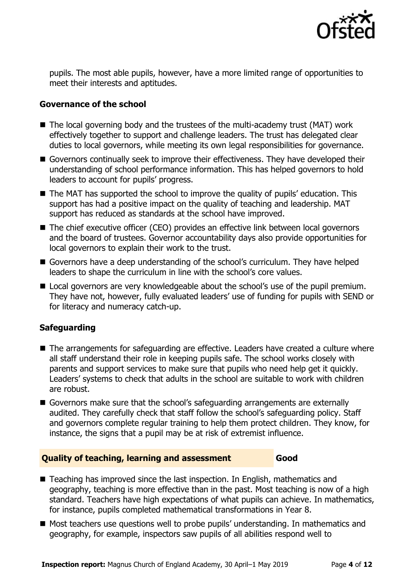

pupils. The most able pupils, however, have a more limited range of opportunities to meet their interests and aptitudes.

#### **Governance of the school**

- $\blacksquare$  The local governing body and the trustees of the multi-academy trust (MAT) work effectively together to support and challenge leaders. The trust has delegated clear duties to local governors, while meeting its own legal responsibilities for governance.
- Governors continually seek to improve their effectiveness. They have developed their understanding of school performance information. This has helped governors to hold leaders to account for pupils' progress.
- The MAT has supported the school to improve the quality of pupils' education. This support has had a positive impact on the quality of teaching and leadership. MAT support has reduced as standards at the school have improved.
- The chief executive officer (CEO) provides an effective link between local governors and the board of trustees. Governor accountability days also provide opportunities for local governors to explain their work to the trust.
- Governors have a deep understanding of the school's curriculum. They have helped leaders to shape the curriculum in line with the school's core values.
- **Local governors are very knowledgeable about the school's use of the pupil premium.** They have not, however, fully evaluated leaders' use of funding for pupils with SEND or for literacy and numeracy catch-up.

#### **Safeguarding**

- The arrangements for safeguarding are effective. Leaders have created a culture where all staff understand their role in keeping pupils safe. The school works closely with parents and support services to make sure that pupils who need help get it quickly. Leaders' systems to check that adults in the school are suitable to work with children are robust.
- Governors make sure that the school's safeguarding arrangements are externally audited. They carefully check that staff follow the school's safeguarding policy. Staff and governors complete regular training to help them protect children. They know, for instance, the signs that a pupil may be at risk of extremist influence.

#### **Quality of teaching, learning and assessment Good**

- Teaching has improved since the last inspection. In English, mathematics and geography, teaching is more effective than in the past. Most teaching is now of a high standard. Teachers have high expectations of what pupils can achieve. In mathematics, for instance, pupils completed mathematical transformations in Year 8.
- Most teachers use questions well to probe pupils' understanding. In mathematics and geography, for example, inspectors saw pupils of all abilities respond well to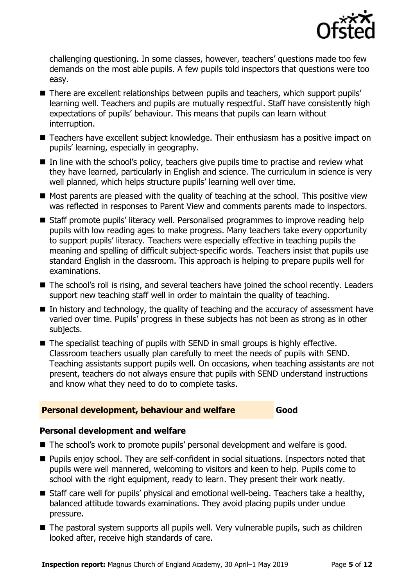

challenging questioning. In some classes, however, teachers' questions made too few demands on the most able pupils. A few pupils told inspectors that questions were too easy.

- There are excellent relationships between pupils and teachers, which support pupils' learning well. Teachers and pupils are mutually respectful. Staff have consistently high expectations of pupils' behaviour. This means that pupils can learn without interruption.
- Teachers have excellent subject knowledge. Their enthusiasm has a positive impact on pupils' learning, especially in geography.
- In line with the school's policy, teachers give pupils time to practise and review what they have learned, particularly in English and science. The curriculum in science is very well planned, which helps structure pupils' learning well over time.
- $\blacksquare$  Most parents are pleased with the quality of teaching at the school. This positive view was reflected in responses to Parent View and comments parents made to inspectors.
- Staff promote pupils' literacy well. Personalised programmes to improve reading help pupils with low reading ages to make progress. Many teachers take every opportunity to support pupils' literacy. Teachers were especially effective in teaching pupils the meaning and spelling of difficult subject-specific words. Teachers insist that pupils use standard English in the classroom. This approach is helping to prepare pupils well for examinations.
- The school's roll is rising, and several teachers have joined the school recently. Leaders support new teaching staff well in order to maintain the quality of teaching.
- $\blacksquare$  In history and technology, the quality of teaching and the accuracy of assessment have varied over time. Pupils' progress in these subjects has not been as strong as in other subjects.
- The specialist teaching of pupils with SEND in small groups is highly effective. Classroom teachers usually plan carefully to meet the needs of pupils with SEND. Teaching assistants support pupils well. On occasions, when teaching assistants are not present, teachers do not always ensure that pupils with SEND understand instructions and know what they need to do to complete tasks.

#### **Personal development, behaviour and welfare Good**

### **Personal development and welfare**

- The school's work to promote pupils' personal development and welfare is good.
- Pupils enjoy school. They are self-confident in social situations. Inspectors noted that pupils were well mannered, welcoming to visitors and keen to help. Pupils come to school with the right equipment, ready to learn. They present their work neatly.
- Staff care well for pupils' physical and emotional well-being. Teachers take a healthy, balanced attitude towards examinations. They avoid placing pupils under undue pressure.
- The pastoral system supports all pupils well. Very vulnerable pupils, such as children looked after, receive high standards of care.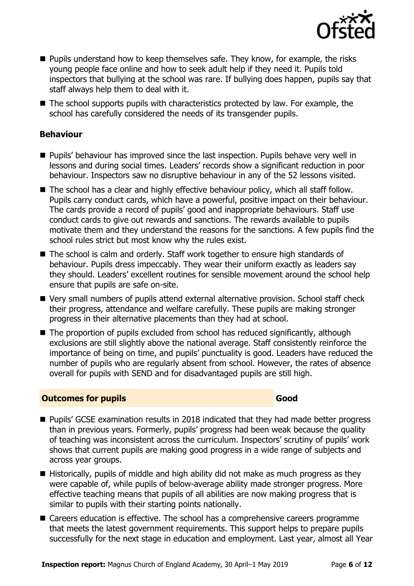

- **Pupils understand how to keep themselves safe. They know, for example, the risks** young people face online and how to seek adult help if they need it. Pupils told inspectors that bullying at the school was rare. If bullying does happen, pupils say that staff always help them to deal with it.
- The school supports pupils with characteristics protected by law. For example, the school has carefully considered the needs of its transgender pupils.

### **Behaviour**

- Pupils' behaviour has improved since the last inspection. Pupils behave very well in lessons and during social times. Leaders' records show a significant reduction in poor behaviour. Inspectors saw no disruptive behaviour in any of the 52 lessons visited.
- The school has a clear and highly effective behaviour policy, which all staff follow. Pupils carry conduct cards, which have a powerful, positive impact on their behaviour. The cards provide a record of pupils' good and inappropriate behaviours. Staff use conduct cards to give out rewards and sanctions. The rewards available to pupils motivate them and they understand the reasons for the sanctions. A few pupils find the school rules strict but most know why the rules exist.
- The school is calm and orderly. Staff work together to ensure high standards of behaviour. Pupils dress impeccably. They wear their uniform exactly as leaders say they should. Leaders' excellent routines for sensible movement around the school help ensure that pupils are safe on-site.
- Very small numbers of pupils attend external alternative provision. School staff check their progress, attendance and welfare carefully. These pupils are making stronger progress in their alternative placements than they had at school.
- The proportion of pupils excluded from school has reduced significantly, although exclusions are still slightly above the national average. Staff consistently reinforce the importance of being on time, and pupils' punctuality is good. Leaders have reduced the number of pupils who are regularly absent from school. However, the rates of absence overall for pupils with SEND and for disadvantaged pupils are still high.

#### **Outcomes for pupils Good**

- **Pupils' GCSE examination results in 2018 indicated that they had made better progress** than in previous years. Formerly, pupils' progress had been weak because the quality of teaching was inconsistent across the curriculum. Inspectors' scrutiny of pupils' work shows that current pupils are making good progress in a wide range of subjects and across year groups.
- $\blacksquare$  Historically, pupils of middle and high ability did not make as much progress as they were capable of, while pupils of below-average ability made stronger progress. More effective teaching means that pupils of all abilities are now making progress that is similar to pupils with their starting points nationally.
- Careers education is effective. The school has a comprehensive careers programme that meets the latest government requirements. This support helps to prepare pupils successfully for the next stage in education and employment. Last year, almost all Year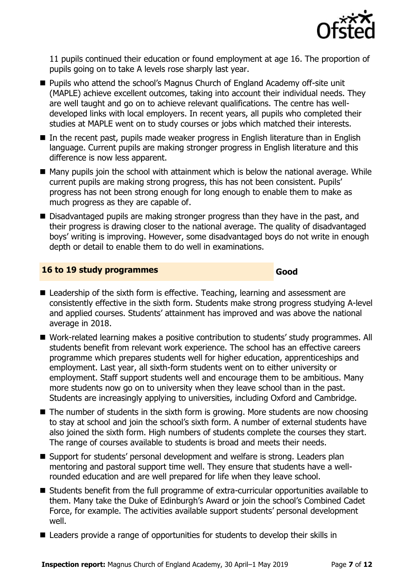

11 pupils continued their education or found employment at age 16. The proportion of pupils going on to take A levels rose sharply last year.

- Pupils who attend the school's Magnus Church of England Academy off-site unit (MAPLE) achieve excellent outcomes, taking into account their individual needs. They are well taught and go on to achieve relevant qualifications. The centre has welldeveloped links with local employers. In recent years, all pupils who completed their studies at MAPLE went on to study courses or jobs which matched their interests.
- In the recent past, pupils made weaker progress in English literature than in English language. Current pupils are making stronger progress in English literature and this difference is now less apparent.
- $\blacksquare$  Many pupils join the school with attainment which is below the national average. While current pupils are making strong progress, this has not been consistent. Pupils' progress has not been strong enough for long enough to enable them to make as much progress as they are capable of.
- Disadvantaged pupils are making stronger progress than they have in the past, and their progress is drawing closer to the national average. The quality of disadvantaged boys' writing is improving. However, some disadvantaged boys do not write in enough depth or detail to enable them to do well in examinations.

#### **16 to 19 study programmes Good**

- Leadership of the sixth form is effective. Teaching, learning and assessment are consistently effective in the sixth form. Students make strong progress studying A-level and applied courses. Students' attainment has improved and was above the national average in 2018.
- Work-related learning makes a positive contribution to students' study programmes. All students benefit from relevant work experience. The school has an effective careers programme which prepares students well for higher education, apprenticeships and employment. Last year, all sixth-form students went on to either university or employment. Staff support students well and encourage them to be ambitious. Many more students now go on to university when they leave school than in the past. Students are increasingly applying to universities, including Oxford and Cambridge.
- The number of students in the sixth form is growing. More students are now choosing to stay at school and join the school's sixth form. A number of external students have also joined the sixth form. High numbers of students complete the courses they start. The range of courses available to students is broad and meets their needs.
- Support for students' personal development and welfare is strong. Leaders plan mentoring and pastoral support time well. They ensure that students have a wellrounded education and are well prepared for life when they leave school.
- Students benefit from the full programme of extra-curricular opportunities available to them. Many take the Duke of Edinburgh's Award or join the school's Combined Cadet Force, for example. The activities available support students' personal development well.
- Leaders provide a range of opportunities for students to develop their skills in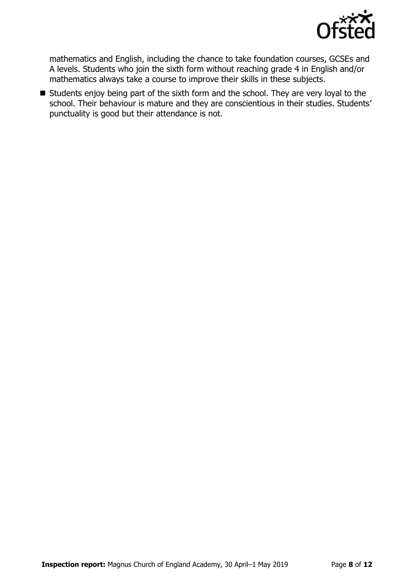

mathematics and English, including the chance to take foundation courses, GCSEs and A levels. Students who join the sixth form without reaching grade 4 in English and/or mathematics always take a course to improve their skills in these subjects.

Students enjoy being part of the sixth form and the school. They are very loyal to the school. Their behaviour is mature and they are conscientious in their studies. Students' punctuality is good but their attendance is not.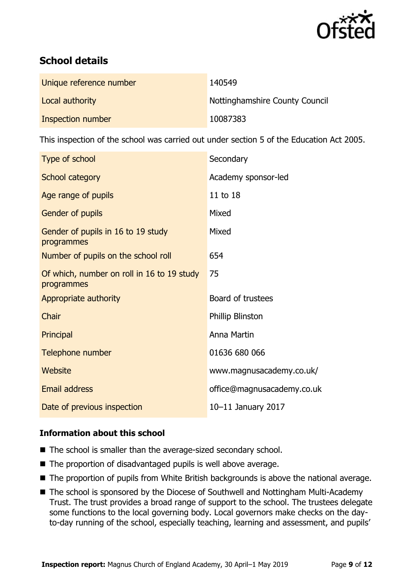

# **School details**

| Unique reference number | 140549                         |
|-------------------------|--------------------------------|
| Local authority         | Nottinghamshire County Council |
| Inspection number       | 10087383                       |

This inspection of the school was carried out under section 5 of the Education Act 2005.

| Secondary                  |
|----------------------------|
| Academy sponsor-led        |
| 11 to 18                   |
| Mixed                      |
| Mixed                      |
| 654                        |
| 75                         |
| Board of trustees          |
| Phillip Blinston           |
| Anna Martin                |
| 01636 680 066              |
| www.magnusacademy.co.uk/   |
| office@magnusacademy.co.uk |
| 10-11 January 2017         |
|                            |

### **Information about this school**

- The school is smaller than the average-sized secondary school.
- The proportion of disadvantaged pupils is well above average.
- The proportion of pupils from White British backgrounds is above the national average.
- The school is sponsored by the Diocese of Southwell and Nottingham Multi-Academy Trust. The trust provides a broad range of support to the school. The trustees delegate some functions to the local governing body. Local governors make checks on the dayto-day running of the school, especially teaching, learning and assessment, and pupils'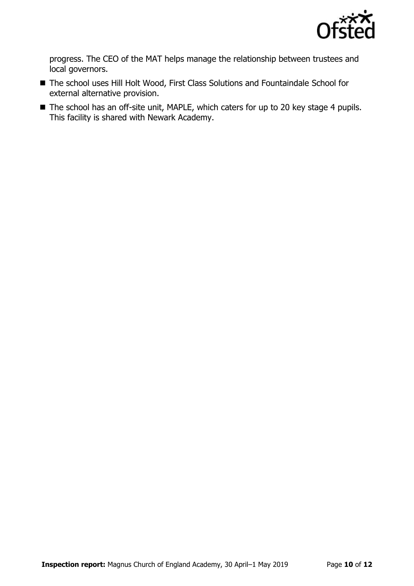

progress. The CEO of the MAT helps manage the relationship between trustees and local governors.

- The school uses Hill Holt Wood, First Class Solutions and Fountaindale School for external alternative provision.
- The school has an off-site unit, MAPLE, which caters for up to 20 key stage 4 pupils. This facility is shared with Newark Academy.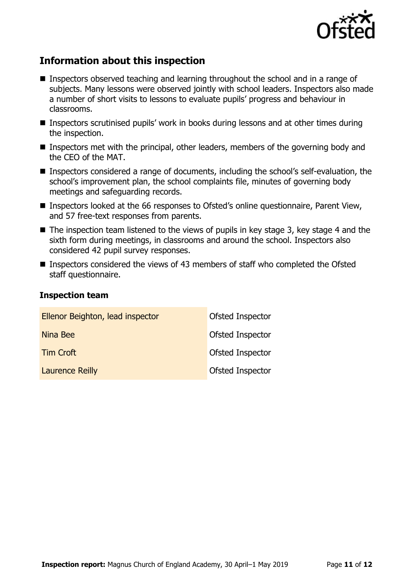

# **Information about this inspection**

- Inspectors observed teaching and learning throughout the school and in a range of subjects. Many lessons were observed jointly with school leaders. Inspectors also made a number of short visits to lessons to evaluate pupils' progress and behaviour in classrooms.
- Inspectors scrutinised pupils' work in books during lessons and at other times during the inspection.
- Inspectors met with the principal, other leaders, members of the governing body and the CEO of the MAT.
- Inspectors considered a range of documents, including the school's self-evaluation, the school's improvement plan, the school complaints file, minutes of governing body meetings and safeguarding records.
- Inspectors looked at the 66 responses to Ofsted's online questionnaire, Parent View, and 57 free-text responses from parents.
- $\blacksquare$  The inspection team listened to the views of pupils in key stage 3, key stage 4 and the sixth form during meetings, in classrooms and around the school. Inspectors also considered 42 pupil survey responses.
- Inspectors considered the views of 43 members of staff who completed the Ofsted staff questionnaire.

#### **Inspection team**

| Ellenor Beighton, lead inspector | Ofsted Inspector        |
|----------------------------------|-------------------------|
| Nina Bee                         | Ofsted Inspector        |
| Tim Croft                        | Ofsted Inspector        |
| <b>Laurence Reilly</b>           | <b>Ofsted Inspector</b> |